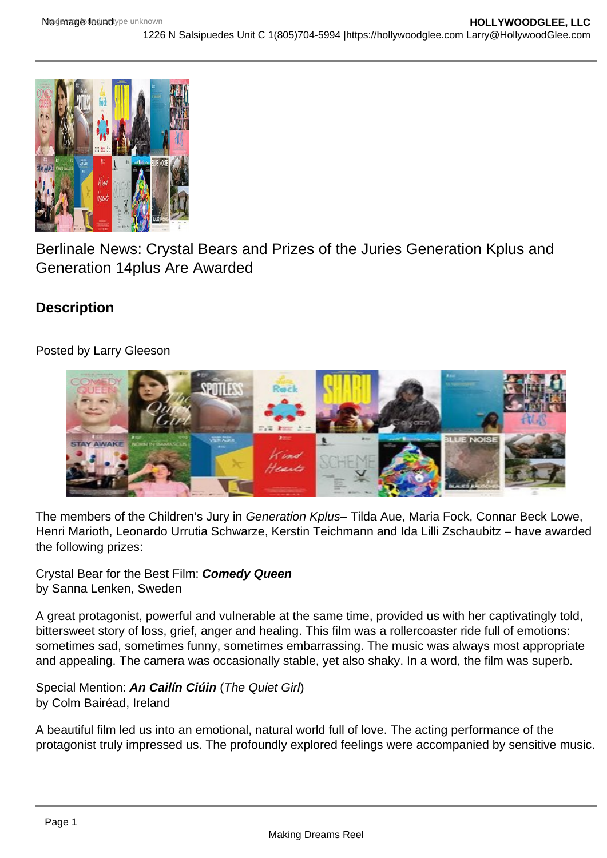

Berlinale News: Crystal Bears and Prizes of the Juries Generation Kplus and Generation 14plus Are Awarded

# **Description**

## Posted by Larry Gleeson



The members of the Children's Jury in Generation Kplus– Tilda Aue, Maria Fock, Connar Beck Lowe, Henri Marioth, Leonardo Urrutia Schwarze, Kerstin Teichmann and Ida Lilli Zschaubitz – have awarded the following prizes:

Crystal Bear for the Best Film: **Comedy Queen** by Sanna Lenken, Sweden

A great protagonist, powerful and vulnerable at the same time, provided us with her captivatingly told, bittersweet story of loss, grief, anger and healing. This film was a rollercoaster ride full of emotions: sometimes sad, sometimes funny, sometimes embarrassing. The music was always most appropriate and appealing. The camera was occasionally stable, yet also shaky. In a word, the film was superb.

Special Mention: **An Cailín Ciúin** (The Quiet Girl) by Colm Bairéad, Ireland

A beautiful film led us into an emotional, natural world full of love. The acting performance of the protagonist truly impressed us. The profoundly explored feelings were accompanied by sensitive music.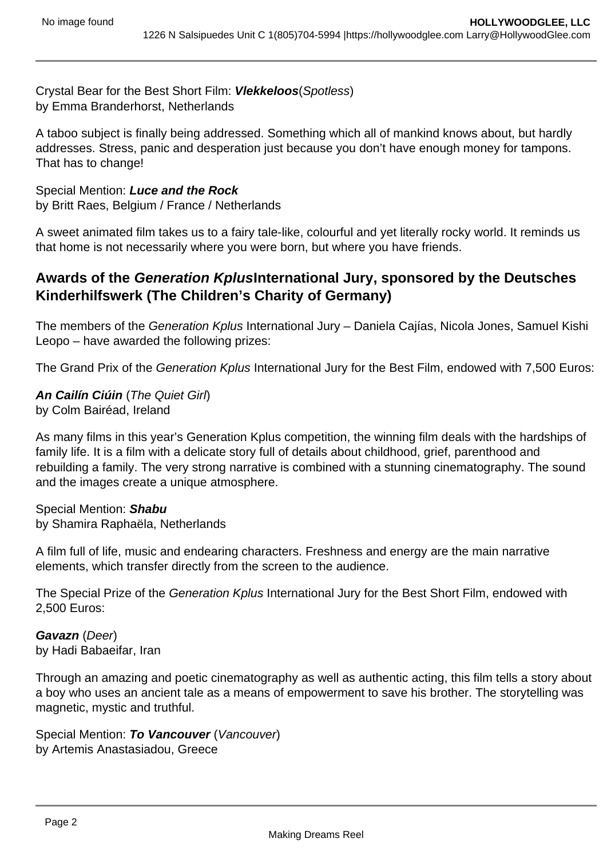Crystal Bear for the Best Short Film: **Vlekkeloos**(Spotless) by Emma Branderhorst, Netherlands

A taboo subject is finally being addressed. Something which all of mankind knows about, but hardly addresses. Stress, panic and desperation just because you don't have enough money for tampons. That has to change!

Special Mention: **Luce and the Rock** by Britt Raes, Belgium / France / Netherlands

A sweet animated film takes us to a fairy tale-like, colourful and yet literally rocky world. It reminds us that home is not necessarily where you were born, but where you have friends.

## **Awards of the Generation KplusInternational Jury, sponsored by the Deutsches Kinderhilfswerk (The Children's Charity of Germany)**

The members of the Generation Kplus International Jury - Daniela Cajías, Nicola Jones, Samuel Kishi Leopo – have awarded the following prizes:

The Grand Prix of the Generation Kplus International Jury for the Best Film, endowed with 7,500 Euros:

**An Cailín Ciúin** (The Quiet Girl) by Colm Bairéad, Ireland

As many films in this year's Generation Kplus competition, the winning film deals with the hardships of family life. It is a film with a delicate story full of details about childhood, grief, parenthood and rebuilding a family. The very strong narrative is combined with a stunning cinematography. The sound and the images create a unique atmosphere.

## Special Mention: **Shabu**

by Shamira Raphaëla, Netherlands

A film full of life, music and endearing characters. Freshness and energy are the main narrative elements, which transfer directly from the screen to the audience.

The Special Prize of the Generation Kplus International Jury for the Best Short Film, endowed with 2,500 Euros:

#### **Gavazn** (Deer) by Hadi Babaeifar, Iran

Through an amazing and poetic cinematography as well as authentic acting, this film tells a story about a boy who uses an ancient tale as a means of empowerment to save his brother. The storytelling was magnetic, mystic and truthful.

Special Mention: **To Vancouver** (Vancouver) by Artemis Anastasiadou, Greece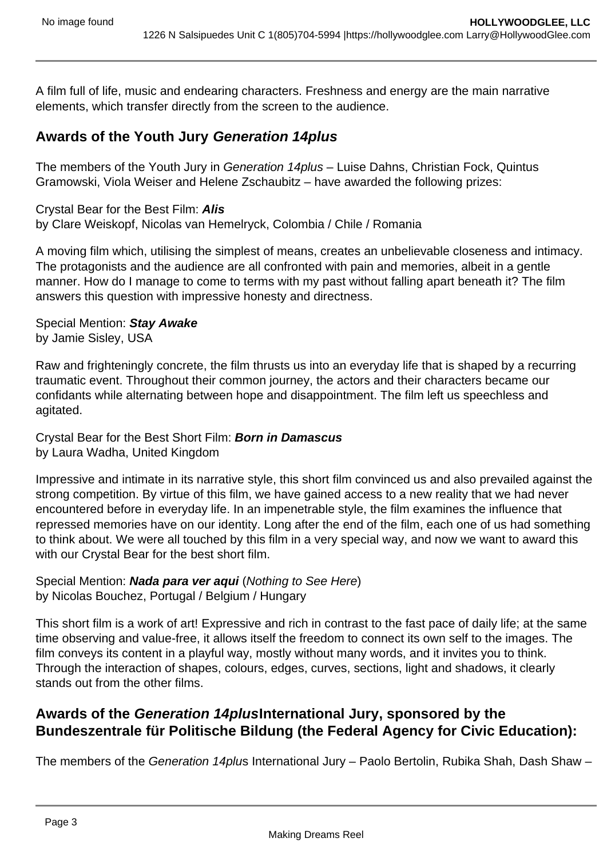A film full of life, music and endearing characters. Freshness and energy are the main narrative elements, which transfer directly from the screen to the audience.

## **Awards of the Youth Jury Generation 14plus**

The members of the Youth Jury in Generation 14plus - Luise Dahns, Christian Fock, Quintus Gramowski, Viola Weiser and Helene Zschaubitz – have awarded the following prizes:

Crystal Bear for the Best Film: **Alis** by Clare Weiskopf, Nicolas van Hemelryck, Colombia / Chile / Romania

A moving film which, utilising the simplest of means, creates an unbelievable closeness and intimacy. The protagonists and the audience are all confronted with pain and memories, albeit in a gentle manner. How do I manage to come to terms with my past without falling apart beneath it? The film answers this question with impressive honesty and directness.

Special Mention: **Stay Awake** by Jamie Sisley, USA

Raw and frighteningly concrete, the film thrusts us into an everyday life that is shaped by a recurring traumatic event. Throughout their common journey, the actors and their characters became our confidants while alternating between hope and disappointment. The film left us speechless and agitated.

#### Crystal Bear for the Best Short Film: **Born in Damascus** by Laura Wadha, United Kingdom

Impressive and intimate in its narrative style, this short film convinced us and also prevailed against the strong competition. By virtue of this film, we have gained access to a new reality that we had never encountered before in everyday life. In an impenetrable style, the film examines the influence that repressed memories have on our identity. Long after the end of the film, each one of us had something to think about. We were all touched by this film in a very special way, and now we want to award this with our Crystal Bear for the best short film.

Special Mention: **Nada para ver aqui** (Nothing to See Here) by Nicolas Bouchez, Portugal / Belgium / Hungary

This short film is a work of art! Expressive and rich in contrast to the fast pace of daily life; at the same time observing and value-free, it allows itself the freedom to connect its own self to the images. The film conveys its content in a playful way, mostly without many words, and it invites you to think. Through the interaction of shapes, colours, edges, curves, sections, light and shadows, it clearly stands out from the other films.

## **Awards of the Generation 14plusInternational Jury, sponsored by the Bundeszentrale für Politische Bildung (the Federal Agency for Civic Education):**

The members of the Generation 14plus International Jury - Paolo Bertolin, Rubika Shah, Dash Shaw -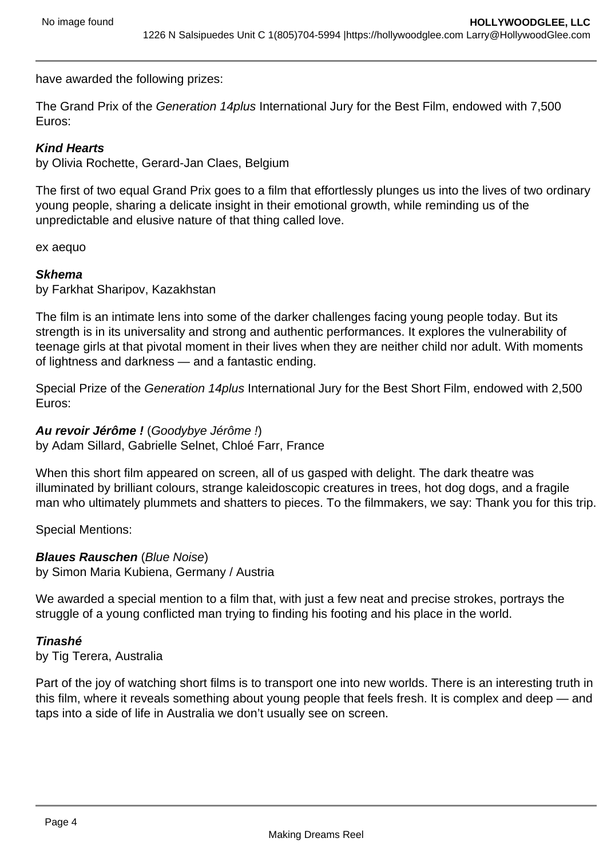have awarded the following prizes:

The Grand Prix of the Generation 14 plus International Jury for the Best Film, endowed with 7,500 Euros:

### **Kind Hearts**

by Olivia Rochette, Gerard-Jan Claes, Belgium

The first of two equal Grand Prix goes to a film that effortlessly plunges us into the lives of two ordinary young people, sharing a delicate insight in their emotional growth, while reminding us of the unpredictable and elusive nature of that thing called love.

ex aequo

#### **Skhema**

by Farkhat Sharipov, Kazakhstan

The film is an intimate lens into some of the darker challenges facing young people today. But its strength is in its universality and strong and authentic performances. It explores the vulnerability of teenage girls at that pivotal moment in their lives when they are neither child nor adult. With moments of lightness and darkness — and a fantastic ending.

Special Prize of the Generation 14plus International Jury for the Best Short Film, endowed with 2,500 Euros:

## **Au revoir Jérôme !** (Goodybye Jérôme !)

by Adam Sillard, Gabrielle Selnet, Chloé Farr, France

When this short film appeared on screen, all of us gasped with delight. The dark theatre was illuminated by brilliant colours, strange kaleidoscopic creatures in trees, hot dog dogs, and a fragile man who ultimately plummets and shatters to pieces. To the filmmakers, we say: Thank you for this trip.

Special Mentions:

## **Blaues Rauschen** (Blue Noise)

by Simon Maria Kubiena, Germany / Austria

We awarded a special mention to a film that, with just a few neat and precise strokes, portrays the struggle of a young conflicted man trying to finding his footing and his place in the world.

#### **Tinashé**

by Tig Terera, Australia

Part of the joy of watching short films is to transport one into new worlds. There is an interesting truth in this film, where it reveals something about young people that feels fresh. It is complex and deep — and taps into a side of life in Australia we don't usually see on screen.